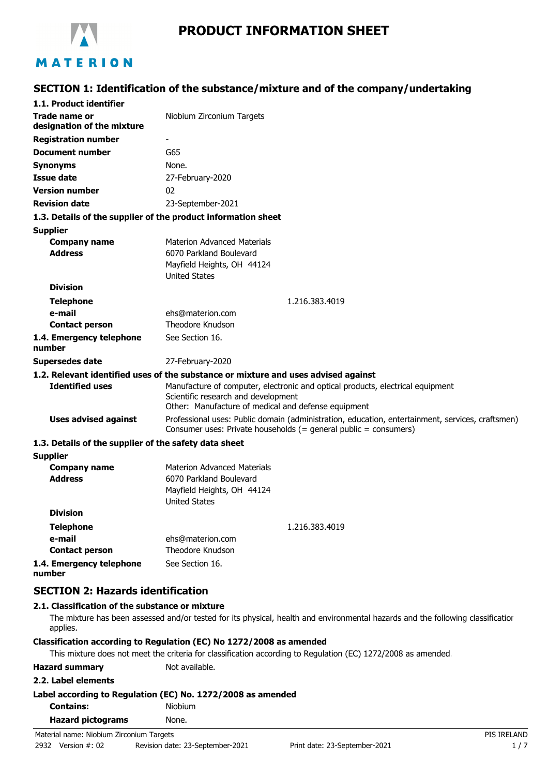

# **PRODUCT INFORMATION SHEET**

# **SECTION 1: Identification of the substance/mixture and of the company/undertaking**

| 1.1. Product identifier                               |                                                                                                                                                                              |  |  |
|-------------------------------------------------------|------------------------------------------------------------------------------------------------------------------------------------------------------------------------------|--|--|
| <b>Trade name or</b><br>designation of the mixture    | Niobium Zirconium Targets                                                                                                                                                    |  |  |
| <b>Registration number</b>                            |                                                                                                                                                                              |  |  |
| <b>Document number</b>                                | G65                                                                                                                                                                          |  |  |
| <b>Synonyms</b>                                       | None.                                                                                                                                                                        |  |  |
| <b>Issue date</b>                                     | 27-February-2020                                                                                                                                                             |  |  |
| <b>Version number</b>                                 | 02                                                                                                                                                                           |  |  |
| <b>Revision date</b>                                  | 23-September-2021                                                                                                                                                            |  |  |
|                                                       | 1.3. Details of the supplier of the product information sheet                                                                                                                |  |  |
| <b>Supplier</b>                                       |                                                                                                                                                                              |  |  |
| <b>Company name</b>                                   | <b>Materion Advanced Materials</b>                                                                                                                                           |  |  |
| <b>Address</b>                                        | 6070 Parkland Boulevard                                                                                                                                                      |  |  |
|                                                       | Mayfield Heights, OH 44124                                                                                                                                                   |  |  |
|                                                       | <b>United States</b>                                                                                                                                                         |  |  |
| <b>Division</b>                                       |                                                                                                                                                                              |  |  |
| <b>Telephone</b>                                      | 1.216.383.4019                                                                                                                                                               |  |  |
| e-mail                                                | ehs@materion.com<br>Theodore Knudson                                                                                                                                         |  |  |
| <b>Contact person</b>                                 |                                                                                                                                                                              |  |  |
| 1.4. Emergency telephone<br>number                    | See Section 16.                                                                                                                                                              |  |  |
| <b>Supersedes date</b>                                | 27-February-2020                                                                                                                                                             |  |  |
|                                                       | 1.2. Relevant identified uses of the substance or mixture and uses advised against                                                                                           |  |  |
| <b>Identified uses</b>                                | Manufacture of computer, electronic and optical products, electrical equipment<br>Scientific research and development<br>Other: Manufacture of medical and defense equipment |  |  |
| <b>Uses advised against</b>                           | Professional uses: Public domain (administration, education, entertainment, services, craftsmen)<br>Consumer uses: Private households (= general public = consumers)         |  |  |
| 1.3. Details of the supplier of the safety data sheet |                                                                                                                                                                              |  |  |
| <b>Supplier</b>                                       |                                                                                                                                                                              |  |  |
| <b>Company name</b>                                   | <b>Materion Advanced Materials</b>                                                                                                                                           |  |  |
| <b>Address</b>                                        | 6070 Parkland Boulevard                                                                                                                                                      |  |  |
|                                                       | Mayfield Heights, OH 44124                                                                                                                                                   |  |  |
| <b>Division</b>                                       | <b>United States</b>                                                                                                                                                         |  |  |
|                                                       |                                                                                                                                                                              |  |  |
| <b>Telephone</b>                                      | 1.216.383.4019                                                                                                                                                               |  |  |
| e-mail                                                | ehs@materion.com<br>Theodore Knudson                                                                                                                                         |  |  |
| <b>Contact person</b>                                 |                                                                                                                                                                              |  |  |
| 1.4. Emergency telephone<br>number                    | See Section 16.                                                                                                                                                              |  |  |
| <b>SECTION 2: Hazards identification</b>              |                                                                                                                                                                              |  |  |

# **2.1. Classification of the substance or mixture**

The mixture has been assessed and/or tested for its physical, health and environmental hazards and the following classification applies.

#### **Classification according to Regulation (EC) No 1272/2008 as amended**

This mixture does not meet the criteria for classification according to Regulation (EC) 1272/2008 as amended.

**Hazard summary** Not available.

#### **2.2. Label elements**

### **Label according to Regulation (EC) No. 1272/2008 as amended**

| <b>Contains:</b> | <b>Niobium</b> |
|------------------|----------------|
|                  |                |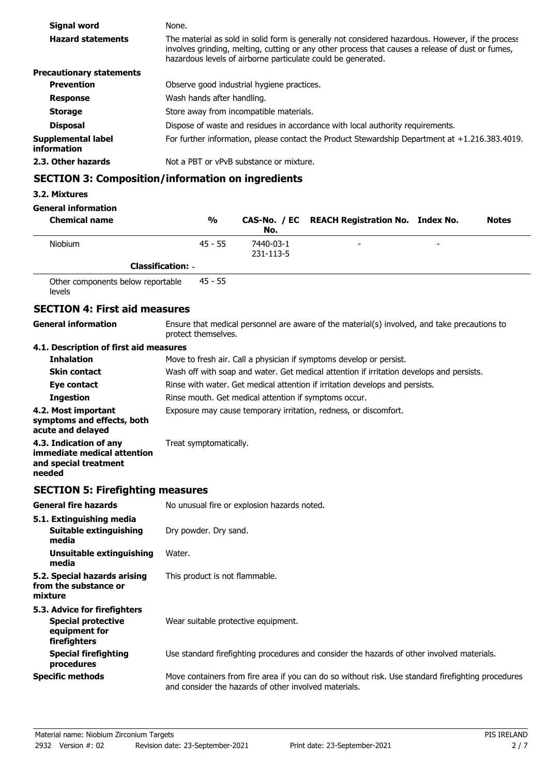| Signal word                       | None.                                                                                                                                                                                                                                                                 |
|-----------------------------------|-----------------------------------------------------------------------------------------------------------------------------------------------------------------------------------------------------------------------------------------------------------------------|
| <b>Hazard statements</b>          | The material as sold in solid form is generally not considered hazardous. However, if the process<br>involves grinding, melting, cutting or any other process that causes a release of dust or fumes,<br>hazardous levels of airborne particulate could be generated. |
| <b>Precautionary statements</b>   |                                                                                                                                                                                                                                                                       |
| <b>Prevention</b>                 | Observe good industrial hygiene practices.                                                                                                                                                                                                                            |
| <b>Response</b>                   | Wash hands after handling.                                                                                                                                                                                                                                            |
| <b>Storage</b>                    | Store away from incompatible materials.                                                                                                                                                                                                                               |
| <b>Disposal</b>                   | Dispose of waste and residues in accordance with local authority requirements.                                                                                                                                                                                        |
| Supplemental label<br>information | For further information, please contact the Product Stewardship Department at $+1.216.383.4019$ .                                                                                                                                                                     |
| 2.3. Other hazards                | Not a PBT or vPvB substance or mixture.                                                                                                                                                                                                                               |

# **SECTION 3: Composition/information on ingredients**

### **3.2. Mixtures**

**General information**

| <b>Chemical name</b> | $\frac{0}{0}$            | No.                    | CAS-No. / EC REACH Registration No. Index No. |   | <b>Notes</b> |
|----------------------|--------------------------|------------------------|-----------------------------------------------|---|--------------|
| <b>Niobium</b>       | $45 - 55$                | 7440-03-1<br>231-113-5 | -                                             | - |              |
|                      | <b>Classification: -</b> |                        |                                               |   |              |

Other components below reportable levels 45 - 55

# **SECTION 4: First aid measures**

**General information**

Ensure that medical personnel are aware of the material(s) involved, and take precautions to protect themselves.

### **4.1. Description of first aid measures**

| <b>Inhalation</b>                                                                        | Move to fresh air. Call a physician if symptoms develop or persist.                      |  |  |
|------------------------------------------------------------------------------------------|------------------------------------------------------------------------------------------|--|--|
| <b>Skin contact</b>                                                                      | Wash off with soap and water. Get medical attention if irritation develops and persists. |  |  |
| Eye contact                                                                              | Rinse with water. Get medical attention if irritation develops and persists.             |  |  |
| <b>Ingestion</b>                                                                         | Rinse mouth. Get medical attention if symptoms occur.                                    |  |  |
| 4.2. Most important<br>symptoms and effects, both<br>acute and delayed                   | Exposure may cause temporary irritation, redness, or discomfort.                         |  |  |
| 4.3. Indication of any<br>immediate medical attention<br>and special treatment<br>needed | Treat symptomatically.                                                                   |  |  |

# **SECTION 5: Firefighting measures**

| <b>General fire hazards</b>                                                                | No unusual fire or explosion hazards noted.                                                                                                                 |
|--------------------------------------------------------------------------------------------|-------------------------------------------------------------------------------------------------------------------------------------------------------------|
| 5.1. Extinguishing media<br>Suitable extinguishing<br>media                                | Dry powder. Dry sand.                                                                                                                                       |
| Unsuitable extinguishing<br>media                                                          | Water.                                                                                                                                                      |
| 5.2. Special hazards arising<br>from the substance or<br>mixture                           | This product is not flammable.                                                                                                                              |
| 5.3. Advice for firefighters<br><b>Special protective</b><br>equipment for<br>firefighters | Wear suitable protective equipment.                                                                                                                         |
| <b>Special firefighting</b><br>procedures                                                  | Use standard firefighting procedures and consider the hazards of other involved materials.                                                                  |
| <b>Specific methods</b>                                                                    | Move containers from fire area if you can do so without risk. Use standard firefighting procedures<br>and consider the hazards of other involved materials. |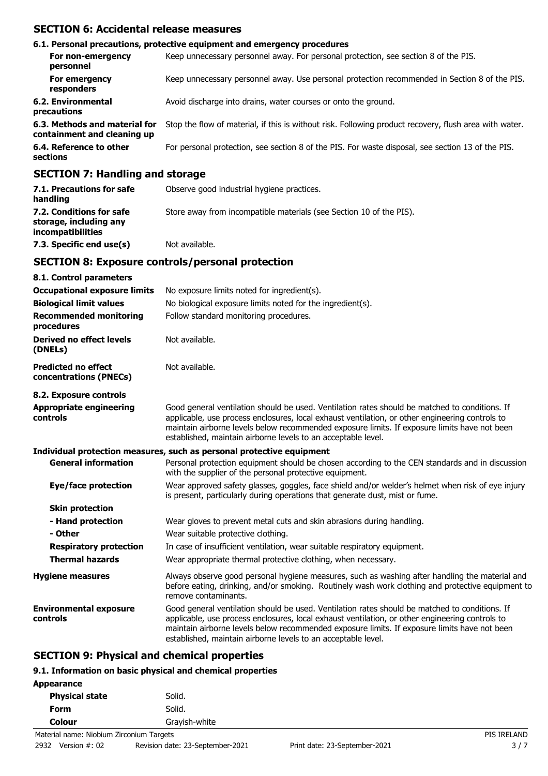# **SECTION 6: Accidental release measures**

|                                                                   | 6.1. Personal precautions, protective equipment and emergency procedures                               |
|-------------------------------------------------------------------|--------------------------------------------------------------------------------------------------------|
| For non-emergency<br>personnel                                    | Keep unnecessary personnel away. For personal protection, see section 8 of the PIS.                    |
| For emergency<br>responders                                       | Keep unnecessary personnel away. Use personal protection recommended in Section 8 of the PIS.          |
| 6.2. Environmental<br>precautions                                 | Avoid discharge into drains, water courses or onto the ground.                                         |
| 6.3. Methods and material for<br>containment and cleaning up      | Stop the flow of material, if this is without risk. Following product recovery, flush area with water. |
| 6.4. Reference to other<br>sections                               | For personal protection, see section 8 of the PIS. For waste disposal, see section 13 of the PIS.      |
| $CFATTAH$ , $H_{\text{max}}$ , $H_{\text{max}}$ , $A$ , $A$ , $A$ |                                                                                                        |

### **SECTION 7: Handling and storage**

| 7.1. Precautions for safe<br>handling                                          | Observe good industrial hygiene practices.                          |
|--------------------------------------------------------------------------------|---------------------------------------------------------------------|
| 7.2. Conditions for safe<br>storage, including any<br><i>incompatibilities</i> | Store away from incompatible materials (see Section 10 of the PIS). |
| 7.3. Specific end use(s)                                                       | Not available.                                                      |

### **SECTION 8: Exposure controls/personal protection**

| 8.1. Control parameters                              |                                                                                                                                                                                                                                                                                                                                                                    |
|------------------------------------------------------|--------------------------------------------------------------------------------------------------------------------------------------------------------------------------------------------------------------------------------------------------------------------------------------------------------------------------------------------------------------------|
| <b>Occupational exposure limits</b>                  | No exposure limits noted for ingredient(s).                                                                                                                                                                                                                                                                                                                        |
| <b>Biological limit values</b>                       | No biological exposure limits noted for the ingredient(s).                                                                                                                                                                                                                                                                                                         |
| <b>Recommended monitoring</b><br>procedures          | Follow standard monitoring procedures.                                                                                                                                                                                                                                                                                                                             |
| <b>Derived no effect levels</b><br>(DNELs)           | Not available.                                                                                                                                                                                                                                                                                                                                                     |
| <b>Predicted no effect</b><br>concentrations (PNECs) | Not available.                                                                                                                                                                                                                                                                                                                                                     |
| 8.2. Exposure controls                               |                                                                                                                                                                                                                                                                                                                                                                    |
| <b>Appropriate engineering</b><br>controls           | Good general ventilation should be used. Ventilation rates should be matched to conditions. If<br>applicable, use process enclosures, local exhaust ventilation, or other engineering controls to<br>maintain airborne levels below recommended exposure limits. If exposure limits have not been<br>established, maintain airborne levels to an acceptable level. |
|                                                      | Individual protection measures, such as personal protective equipment                                                                                                                                                                                                                                                                                              |
| <b>General information</b>                           | Personal protection equipment should be chosen according to the CEN standards and in discussion<br>with the supplier of the personal protective equipment.                                                                                                                                                                                                         |
| Eye/face protection                                  | Wear approved safety glasses, goggles, face shield and/or welder's helmet when risk of eye injury<br>is present, particularly during operations that generate dust, mist or fume.                                                                                                                                                                                  |
| <b>Skin protection</b>                               |                                                                                                                                                                                                                                                                                                                                                                    |
| - Hand protection                                    | Wear gloves to prevent metal cuts and skin abrasions during handling.                                                                                                                                                                                                                                                                                              |
| - Other                                              | Wear suitable protective clothing.                                                                                                                                                                                                                                                                                                                                 |
| <b>Respiratory protection</b>                        | In case of insufficient ventilation, wear suitable respiratory equipment.                                                                                                                                                                                                                                                                                          |
| <b>Thermal hazards</b>                               | Wear appropriate thermal protective clothing, when necessary.                                                                                                                                                                                                                                                                                                      |
| <b>Hygiene measures</b>                              | Always observe good personal hygiene measures, such as washing after handling the material and<br>before eating, drinking, and/or smoking. Routinely wash work clothing and protective equipment to<br>remove contaminants.                                                                                                                                        |
| <b>Environmental exposure</b><br>controls            | Good general ventilation should be used. Ventilation rates should be matched to conditions. If<br>applicable, use process enclosures, local exhaust ventilation, or other engineering controls to<br>maintain airborne levels below recommended exposure limits. If exposure limits have not been<br>established, maintain airborne levels to an acceptable level. |

### **SECTION 9: Physical and chemical properties**

### **9.1. Information on basic physical and chemical properties**

| Appearance            |  |               |
|-----------------------|--|---------------|
| <b>Physical state</b> |  | Solid.        |
| Form                  |  | Solid.        |
| Colour                |  | Grayish-white |
|                       |  |               |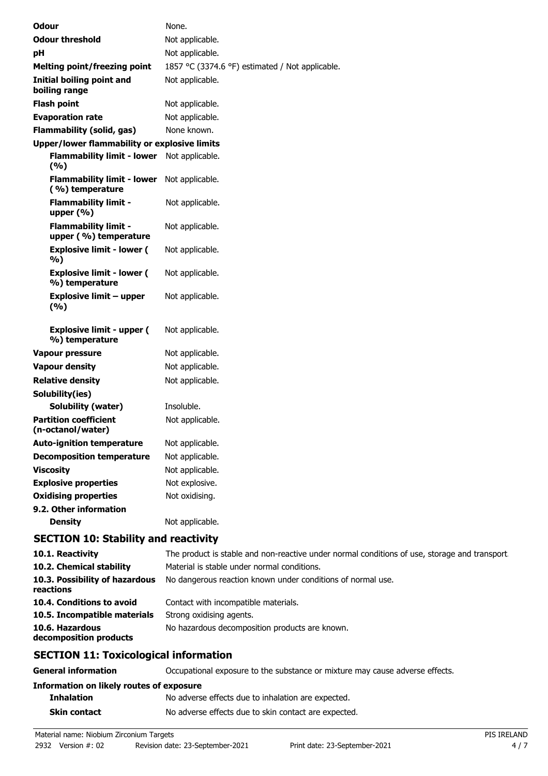| <b>Odour</b>                                         | None.                                                    |
|------------------------------------------------------|----------------------------------------------------------|
| <b>Odour threshold</b>                               | Not applicable.                                          |
| pH                                                   | Not applicable.                                          |
| <b>Melting point/freezing point</b>                  | 1857 °C (3374.6 °F) estimated / Not applicable.          |
| Initial boiling point and<br>boiling range           | Not applicable.                                          |
| <b>Flash point</b>                                   | Not applicable.                                          |
| <b>Evaporation rate</b>                              | Not applicable.                                          |
| <b>Flammability (solid, gas)</b>                     | None known.                                              |
| <b>Upper/lower flammability or explosive limits</b>  |                                                          |
| <b>Flammability limit - lower</b><br>(%)             | Not applicable.                                          |
| <b>Flammability limit - lower</b><br>(%) temperature | Not applicable.                                          |
| <b>Flammability limit -</b><br>upper (%)             | Not applicable.                                          |
| <b>Flammability limit -</b><br>upper (%) temperature | Not applicable.                                          |
| <b>Explosive limit - lower (</b><br>%)               | Not applicable.                                          |
| <b>Explosive limit - lower (</b><br>%) temperature   | Not applicable.                                          |
| <b>Explosive limit - upper</b><br>(9/6)              | Not applicable.                                          |
| <b>Explosive limit - upper (</b><br>%) temperature   | Not applicable.                                          |
| <b>Vapour pressure</b>                               | Not applicable.                                          |
| <b>Vapour density</b>                                | Not applicable.                                          |
| <b>Relative density</b>                              | Not applicable.                                          |
| Solubility(ies)                                      |                                                          |
| Solubility (water)                                   | Insoluble.                                               |
| <b>Partition coefficient</b><br>(n-octanol/water)    | Not applicable.                                          |
| <b>Auto-ignition temperature</b>                     | Not applicable.                                          |
| <b>Decomposition temperature</b>                     | Not applicable.                                          |
| <b>Viscosity</b>                                     | Not applicable.                                          |
| <b>Explosive properties</b>                          | Not explosive.                                           |
| <b>Oxidising properties</b>                          | Not oxidising.                                           |
| 9.2. Other information                               |                                                          |
| <b>Density</b>                                       | Not applicable.                                          |
| <b>SECTION 10: Stability and reactivity</b>          |                                                          |
| 10.1. Reactivity                                     | The product is stable and non-reactive under normal cond |

| CECTION 44. Taxicalesiant information       |                                                                                              |
|---------------------------------------------|----------------------------------------------------------------------------------------------|
| 10.6. Hazardous<br>decomposition products   | No hazardous decomposition products are known.                                               |
| 10.5. Incompatible materials                | Strong oxidising agents.                                                                     |
| 10.4. Conditions to avoid                   | Contact with incompatible materials.                                                         |
| 10.3. Possibility of hazardous<br>reactions | No dangerous reaction known under conditions of normal use.                                  |
| 10.2. Chemical stability                    | Material is stable under normal conditions.                                                  |
| 10.1. Reactivity                            | The product is stable and non-reactive under normal conditions of use, storage and transport |

# **SECTION 11: Toxicological information**

| <b>General information</b>               | Occupational exposure to the substance or mixture may cause adverse effects. |
|------------------------------------------|------------------------------------------------------------------------------|
| Information on likely routes of exposure |                                                                              |
| <b>Inhalation</b>                        | No adverse effects due to inhalation are expected.                           |
| Skin contact                             | No adverse effects due to skin contact are expected.                         |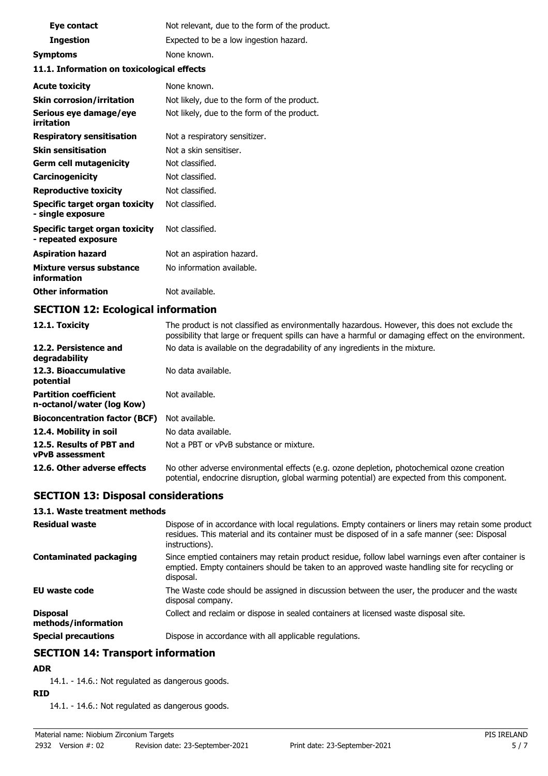| Eye contact                                           | Not relevant, due to the form of the product. |
|-------------------------------------------------------|-----------------------------------------------|
| <b>Ingestion</b>                                      | Expected to be a low ingestion hazard.        |
| <b>Symptoms</b>                                       | None known.                                   |
| 11.1. Information on toxicological effects            |                                               |
| <b>Acute toxicity</b>                                 | None known.                                   |
| <b>Skin corrosion/irritation</b>                      | Not likely, due to the form of the product.   |
| Serious eye damage/eye<br>irritation                  | Not likely, due to the form of the product.   |
| <b>Respiratory sensitisation</b>                      | Not a respiratory sensitizer.                 |
| <b>Skin sensitisation</b>                             | Not a skin sensitiser.                        |
| <b>Germ cell mutagenicity</b>                         | Not classified.                               |
| Carcinogenicity                                       | Not classified.                               |
| <b>Reproductive toxicity</b>                          | Not classified.                               |
| Specific target organ toxicity<br>- single exposure   | Not classified.                               |
| Specific target organ toxicity<br>- repeated exposure | Not classified.                               |
| <b>Aspiration hazard</b>                              | Not an aspiration hazard.                     |
| Mixture versus substance<br>information               | No information available.                     |
| <b>Other information</b>                              | Not available.                                |

# **SECTION 12: Ecological information**

| 12.1. Toxicity                                            | The product is not classified as environmentally hazardous. However, this does not exclude the<br>possibility that large or frequent spills can have a harmful or damaging effect on the environment. |
|-----------------------------------------------------------|-------------------------------------------------------------------------------------------------------------------------------------------------------------------------------------------------------|
| 12.2. Persistence and<br>degradability                    | No data is available on the degradability of any ingredients in the mixture.                                                                                                                          |
| 12.3. Bioaccumulative<br>potential                        | No data available.                                                                                                                                                                                    |
| <b>Partition coefficient</b><br>n-octanol/water (log Kow) | Not available.                                                                                                                                                                                        |
| <b>Bioconcentration factor (BCF)</b>                      | Not available.                                                                                                                                                                                        |
| 12.4. Mobility in soil                                    | No data available.                                                                                                                                                                                    |
| 12.5. Results of PBT and<br>vPvB assessment               | Not a PBT or vPvB substance or mixture.                                                                                                                                                               |
| 12.6. Other adverse effects                               | No other adverse environmental effects (e.g. ozone depletion, photochemical ozone creation<br>potential, endocrine disruption, global warming potential) are expected from this component.            |

# **SECTION 13: Disposal considerations**

#### **13.1. Waste treatment methods**

| <b>Residual waste</b>                  | Dispose of in accordance with local regulations. Empty containers or liners may retain some product<br>residues. This material and its container must be disposed of in a safe manner (see: Disposal<br>instructions). |
|----------------------------------------|------------------------------------------------------------------------------------------------------------------------------------------------------------------------------------------------------------------------|
| <b>Contaminated packaging</b>          | Since emptied containers may retain product residue, follow label warnings even after container is<br>emptied. Empty containers should be taken to an approved waste handling site for recycling or<br>disposal.       |
| <b>EU waste code</b>                   | The Waste code should be assigned in discussion between the user, the producer and the waste<br>disposal company.                                                                                                      |
| <b>Disposal</b><br>methods/information | Collect and reclaim or dispose in sealed containers at licensed waste disposal site.                                                                                                                                   |
| <b>Special precautions</b>             | Dispose in accordance with all applicable regulations.                                                                                                                                                                 |

# **SECTION 14: Transport information**

### **ADR**

14.1. - 14.6.: Not regulated as dangerous goods.

### **RID**

14.1. - 14.6.: Not regulated as dangerous goods.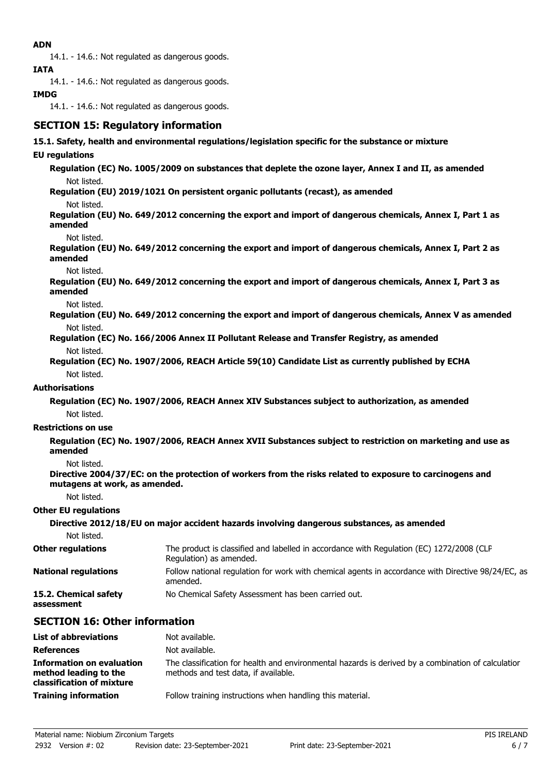### **ADN**

14.1. - 14.6.: Not regulated as dangerous goods.

**IATA**

14.1. - 14.6.: Not regulated as dangerous goods.

### **IMDG**

14.1. - 14.6.: Not regulated as dangerous goods.

# **SECTION 15: Regulatory information**

#### **15.1. Safety, health and environmental regulations/legislation specific for the substance or mixture**

#### **EU regulations**

**Regulation (EC) No. 1005/2009 on substances that deplete the ozone layer, Annex I and II, as amended** Not listed.

**Regulation (EU) 2019/1021 On persistent organic pollutants (recast), as amended**

Not listed.

**Regulation (EU) No. 649/2012 concerning the export and import of dangerous chemicals, Annex I, Part 1 as amended**

Not listed.

**Regulation (EU) No. 649/2012 concerning the export and import of dangerous chemicals, Annex I, Part 2 as amended**

Not listed.

**Regulation (EU) No. 649/2012 concerning the export and import of dangerous chemicals, Annex I, Part 3 as amended**

Not listed.

**Regulation (EU) No. 649/2012 concerning the export and import of dangerous chemicals, Annex V as amended** Not listed.

**Regulation (EC) No. 166/2006 Annex II Pollutant Release and Transfer Registry, as amended** Not listed.

**Regulation (EC) No. 1907/2006, REACH Article 59(10) Candidate List as currently published by ECHA** Not listed.

#### **Authorisations**

**Regulation (EC) No. 1907/2006, REACH Annex XIV Substances subject to authorization, as amended** Not listed.

#### **Restrictions on use**

**Regulation (EC) No. 1907/2006, REACH Annex XVII Substances subject to restriction on marketing and use as amended**

Not listed.

**Directive 2004/37/EC: on the protection of workers from the risks related to exposure to carcinogens and mutagens at work, as amended.**

Not listed.

#### **Other EU regulations**

|                                     | Directive 2012/18/EU on major accident hazards involving dangerous substances, as amended                           |
|-------------------------------------|---------------------------------------------------------------------------------------------------------------------|
| Not listed.                         |                                                                                                                     |
| <b>Other regulations</b>            | The product is classified and labelled in accordance with Regulation (EC) 1272/2008 (CLP<br>Regulation) as amended. |
| <b>National regulations</b>         | Follow national regulation for work with chemical agents in accordance with Directive 98/24/EC, as<br>amended.      |
| 15.2. Chemical safety<br>assessment | No Chemical Safety Assessment has been carried out.                                                                 |

# **SECTION 16: Other information**

| <b>List of abbreviations</b>                                                           | Not available.                                                                                                                             |
|----------------------------------------------------------------------------------------|--------------------------------------------------------------------------------------------------------------------------------------------|
| <b>References</b>                                                                      | Not available.                                                                                                                             |
| <b>Information on evaluation</b><br>method leading to the<br>classification of mixture | The classification for health and environmental hazards is derived by a combination of calculation<br>methods and test data, if available. |
| <b>Training information</b>                                                            | Follow training instructions when handling this material.                                                                                  |